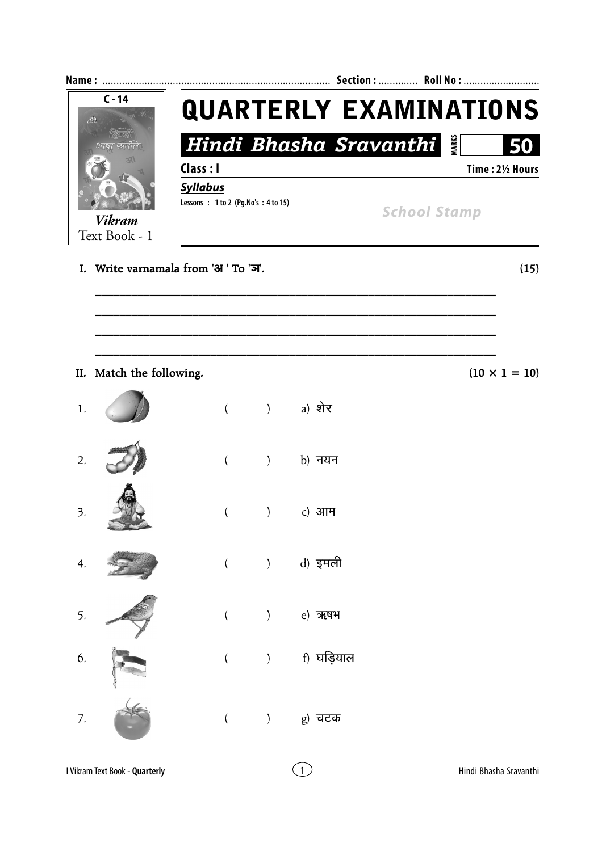

 $\overline{(\ }$  $\sum_{i=1}^{n}$ e) ऋषभ ) f) घड़ियाल  $\overline{(\ }$ 

 $\overline{(\ }$ 

5.

6.

 $7.$ 

g) चटक

 $\left( \begin{array}{c} 0 \\ 0 \end{array} \right)$